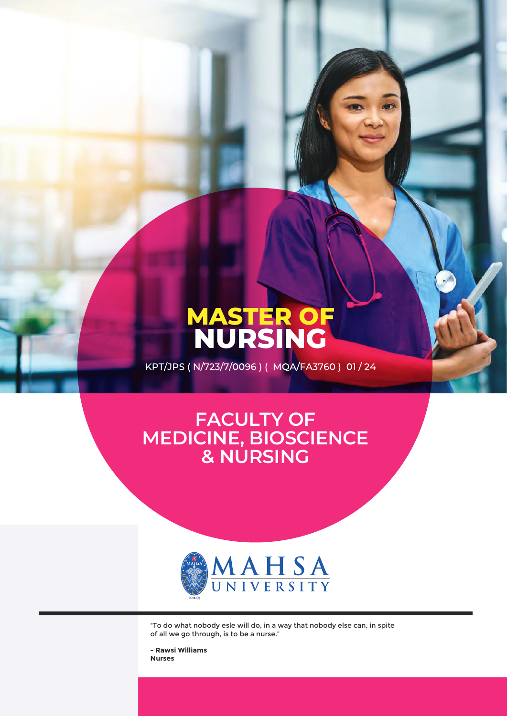# **MASTER OF NURSING**

KPT/JPS (N/723/7/0096) (MQA/FA3760) 01/24

## **FACULTY OF MEDICINE, BIOSCIENCE & NURSING**



"To do what nobody esle will do, in a way that nobody else can, in spite of all we go through, is to be a nurse."

**- Rawsi Williams Nurses**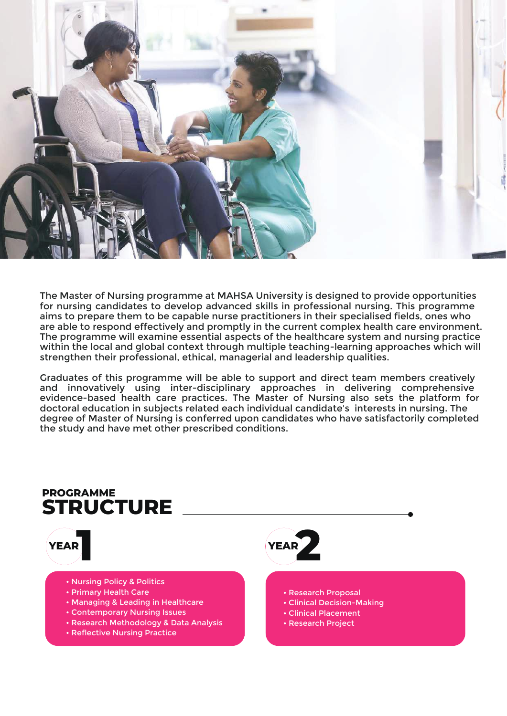

The Master of Nursing programme at MAHSA University is designed to provide opportunities for nursing candidates to develop advanced skills in professional nursing. This programme aims to prepare them to be capable nurse practitioners in their specialised fields, ones who are able to respond effectively and promptly in the current complex health care environment. The programme will examine essential aspects of the healthcare system and nursing practice within the local and global context through multiple teaching-learning approaches which will strengthen their professional, ethical, managerial and leadership qualities.

Graduates of this programme will be able to support and direct team members creatively and innovatively using inter-disciplinary approaches in delivering comprehensive evidence-based health care practices. The Master of Nursing also sets the platform for doctoral education in subjects related each individual candidate's interests in nursing. The degree of Master of Nursing is conferred upon candidates who have satisfactorily completed the study and have met other prescribed conditions.

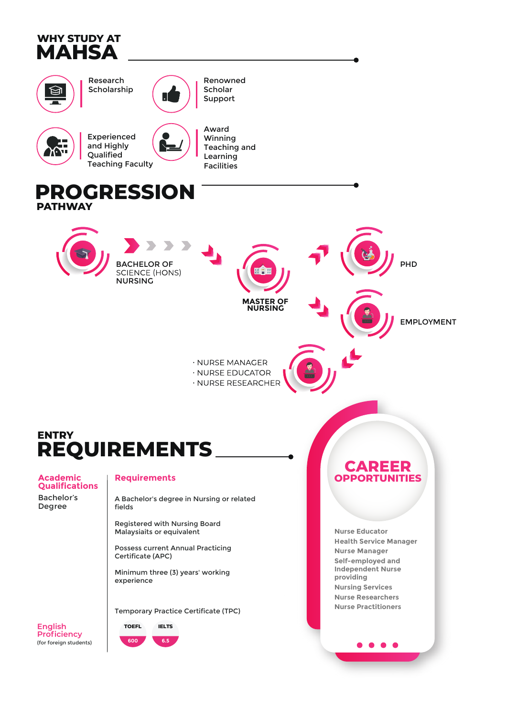





Renowned Scholar Support



Experienced and Highly **Oualified Teaching Faculty**  Award Winning Teaching and Learning Facilities

### **PROGRESSION PATHWAY**





## **ENTRY REQUIREMENTS**

**Academic<br>Qualifications** Bachelor's

Degree

#### **Requirements**

A Bachelor's degree in Nursing or related fields

Registered with Nursing Board Malaysiaits or equivalent

**Possess current Annual Practicing** Certificate (APC)

Minimum three (3) years' working experience

**Temporary Practice Certificate (TPC)** 



600 65 **OPPOR NITIES** 

**Nurse Educator Health Service Manager Nurse Manager** Self-employed and **Independent Nurse** providing **Nursing Services Nurse Researchers Nurse Practitioners** 

 $\bullet$   $\bullet$   $\bullet$ 

**English Proficiency** (for foreign students)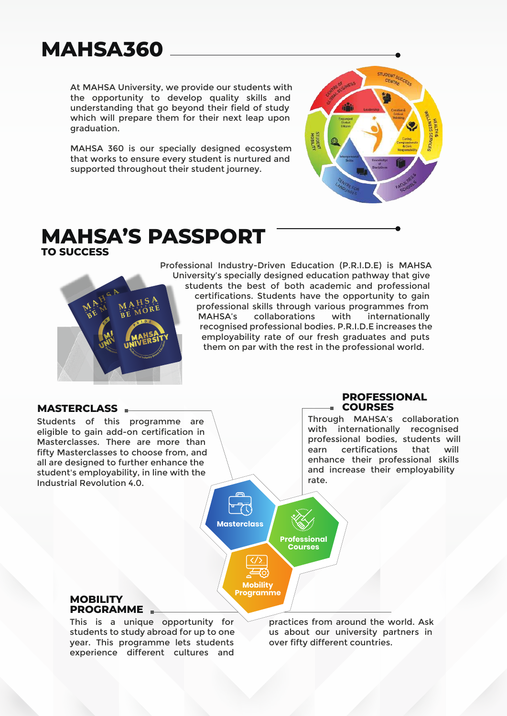## **MAHSA360**

At MAHSA University, we provide our students with the opportunity to develop quality skills and understanding that go beyond their field of study which will prepare them for their next leap upon graduation.

MAHSA 360 is our specially designed ecosystem that works to ensure every student is nurtured and supported throughout their student journey.



#### **MAHSA'S PASSPORT TO SUCCESS**



Professional Industry-Driven Education (P.R.I.D.E) is MAHSA University's specially designed education pathway that give students the best of both academic and professional certifications. Students have the opportunity to gain professional skills through various programmes from MAHSA's collaborations with internationally recognised professional bodies. P.R.I.D.E increases the employability rate of our fresh graduates and puts them on par with the rest in the professional world.

> **Professional Courses**

**Masterclass**

**Mobility Programme**

#### **MASTERCLASS**

Students of this programme are eligible to gain add-on certification in Masterclasses. There are more than fifty Masterclasses to choose from, and all are designed to further enhance the student's employability, in line with the Industrial Revolution 4.0.

#### **PROFESSIONAL COURSES**

Through MAHSA's collaboration with internationally recognised professional bodies, students will earn certifications that will enhance their professional skills and increase their employability rate.



This is a unique opportunity for students to study abroad for up to one year. This programme lets students experience different cultures and practices from around the world. Ask us about our university partners in over fifty different countries.